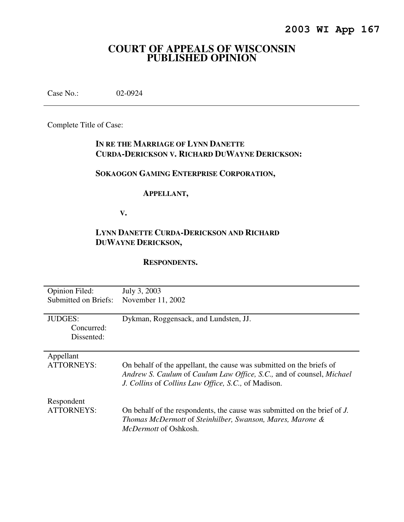# **COURT OF APPEALS OF WISCONSIN PUBLISHED OPINION**

Case No.: 02-0924

Complete Title of Case:

## **IN RE THE MARRIAGE OF LYNN DANETTE CURDA-DERICKSON V. RICHARD DUWAYNE DERICKSON:**

# **SOKAOGON GAMING ENTERPRISE CORPORATION,**

## **APPELLANT,**

 **V.** 

## **LYNN DANETTE CURDA-DERICKSON AND RICHARD DUWAYNE DERICKSON,**

## **RESPONDENTS.**

| <b>Opinion Filed:</b> | July 3, 2003                                                             |
|-----------------------|--------------------------------------------------------------------------|
| Submitted on Briefs:  | November 11, 2002                                                        |
|                       |                                                                          |
| <b>JUDGES:</b>        | Dykman, Roggensack, and Lundsten, JJ.                                    |
| Concurred:            |                                                                          |
| Dissented:            |                                                                          |
|                       |                                                                          |
| Appellant             |                                                                          |
| ATTORNEYS:            | On behalf of the appellant, the cause was submitted on the briefs of     |
|                       | Andrew S. Caulum of Caulum Law Office, S.C., and of counsel, Michael     |
|                       | J. Collins of Collins Law Office, S.C., of Madison.                      |
|                       |                                                                          |
| Respondent            |                                                                          |
| <b>ATTORNEYS:</b>     | On behalf of the respondents, the cause was submitted on the brief of J. |
|                       | Thomas McDermott of Steinhilber, Swanson, Mares, Marone &                |
|                       | <i>McDermott</i> of Oshkosh.                                             |
|                       |                                                                          |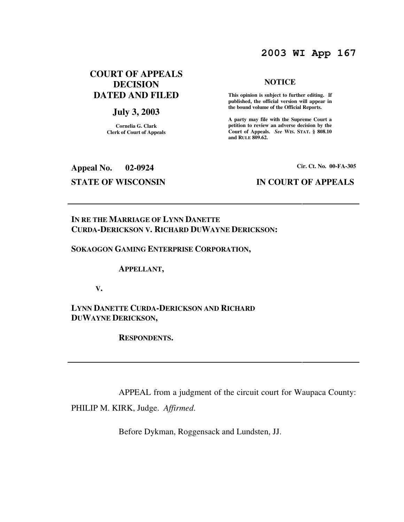# **2003 WI App 167**

## **COURT OF APPEALS DECISION DATED AND FILED**

## **July 3, 2003**

**Cornelia G. Clark Clerk of Court of Appeals**

# **Appeal No. 02-0924 Cir. Ct. No. 00-FA-305**

### **NOTICE**

 **This opinion is subject to further editing. If published, the official version will appear in the bound volume of the Official Reports.** 

**A party may file with the Supreme Court a petition to review an adverse decision by the Court of Appeals.** *See* **WIS. STAT. § 808.10 and RULE 809.62.** 

## **STATE OF WISCONSIN IN COURT OF APPEALS**

## **IN RE THE MARRIAGE OF LYNN DANETTE CURDA-DERICKSON V. RICHARD DUWAYNE DERICKSON:**

### **SOKAOGON GAMING ENTERPRISE CORPORATION,**

 **APPELLANT,** 

 **V.** 

**LYNN DANETTE CURDA-DERICKSON AND RICHARD DUWAYNE DERICKSON,** 

 **RESPONDENTS.** 

APPEAL from a judgment of the circuit court for Waupaca County:

PHILIP M. KIRK, Judge. *Affirmed*.

Before Dykman, Roggensack and Lundsten, JJ.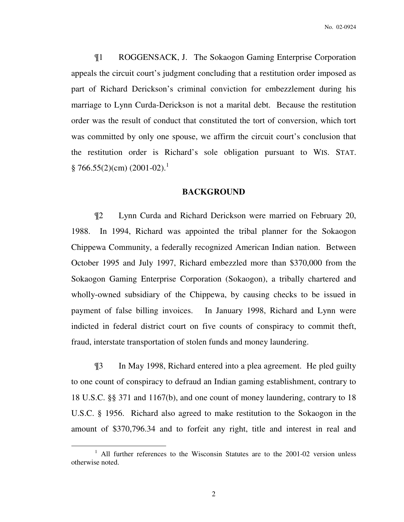¶1 ROGGENSACK, J. The Sokaogon Gaming Enterprise Corporation appeals the circuit court's judgment concluding that a restitution order imposed as part of Richard Derickson's criminal conviction for embezzlement during his marriage to Lynn Curda-Derickson is not a marital debt. Because the restitution order was the result of conduct that constituted the tort of conversion, which tort was committed by only one spouse, we affirm the circuit court's conclusion that the restitution order is Richard's sole obligation pursuant to WIS. STAT.  $§ 766.55(2)(cm) (2001-02).$ <sup>1</sup>

## **BACKGROUND**

¶2 Lynn Curda and Richard Derickson were married on February 20, 1988. In 1994, Richard was appointed the tribal planner for the Sokaogon Chippewa Community, a federally recognized American Indian nation. Between October 1995 and July 1997, Richard embezzled more than \$370,000 from the Sokaogon Gaming Enterprise Corporation (Sokaogon), a tribally chartered and wholly-owned subsidiary of the Chippewa, by causing checks to be issued in payment of false billing invoices. In January 1998, Richard and Lynn were indicted in federal district court on five counts of conspiracy to commit theft, fraud, interstate transportation of stolen funds and money laundering.

¶3 In May 1998, Richard entered into a plea agreement. He pled guilty to one count of conspiracy to defraud an Indian gaming establishment, contrary to 18 U.S.C. §§ 371 and 1167(b), and one count of money laundering, contrary to 18 U.S.C. § 1956. Richard also agreed to make restitution to the Sokaogon in the amount of \$370,796.34 and to forfeit any right, title and interest in real and

<sup>&</sup>lt;sup>1</sup> All further references to the Wisconsin Statutes are to the 2001-02 version unless otherwise noted.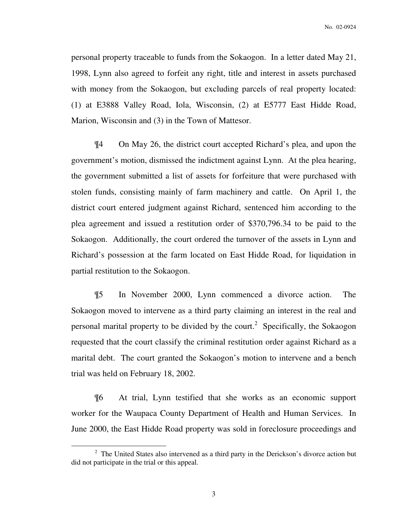No. 02-0924

personal property traceable to funds from the Sokaogon. In a letter dated May 21, 1998, Lynn also agreed to forfeit any right, title and interest in assets purchased with money from the Sokaogon, but excluding parcels of real property located: (1) at E3888 Valley Road, Iola, Wisconsin, (2) at E5777 East Hidde Road, Marion, Wisconsin and (3) in the Town of Mattesor.

¶4 On May 26, the district court accepted Richard's plea, and upon the government's motion, dismissed the indictment against Lynn. At the plea hearing, the government submitted a list of assets for forfeiture that were purchased with stolen funds, consisting mainly of farm machinery and cattle. On April 1, the district court entered judgment against Richard, sentenced him according to the plea agreement and issued a restitution order of \$370,796.34 to be paid to the Sokaogon. Additionally, the court ordered the turnover of the assets in Lynn and Richard's possession at the farm located on East Hidde Road, for liquidation in partial restitution to the Sokaogon.

¶5 In November 2000, Lynn commenced a divorce action. The Sokaogon moved to intervene as a third party claiming an interest in the real and personal marital property to be divided by the court.<sup>2</sup> Specifically, the Sokaogon requested that the court classify the criminal restitution order against Richard as a marital debt. The court granted the Sokaogon's motion to intervene and a bench trial was held on February 18, 2002.

¶6 At trial, Lynn testified that she works as an economic support worker for the Waupaca County Department of Health and Human Services. In June 2000, the East Hidde Road property was sold in foreclosure proceedings and

 $2$  The United States also intervened as a third party in the Derickson's divorce action but did not participate in the trial or this appeal.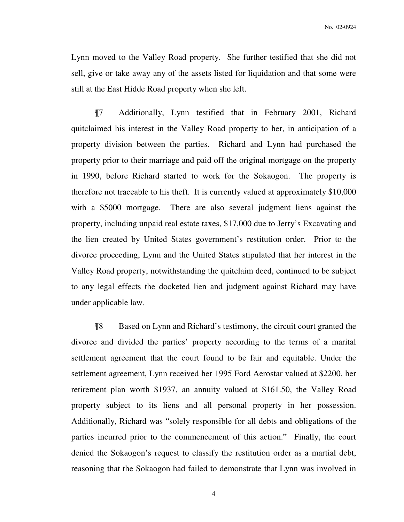Lynn moved to the Valley Road property. She further testified that she did not sell, give or take away any of the assets listed for liquidation and that some were still at the East Hidde Road property when she left.

¶7 Additionally, Lynn testified that in February 2001, Richard quitclaimed his interest in the Valley Road property to her, in anticipation of a property division between the parties. Richard and Lynn had purchased the property prior to their marriage and paid off the original mortgage on the property in 1990, before Richard started to work for the Sokaogon. The property is therefore not traceable to his theft. It is currently valued at approximately \$10,000 with a \$5000 mortgage. There are also several judgment liens against the property, including unpaid real estate taxes, \$17,000 due to Jerry's Excavating and the lien created by United States government's restitution order. Prior to the divorce proceeding, Lynn and the United States stipulated that her interest in the Valley Road property, notwithstanding the quitclaim deed, continued to be subject to any legal effects the docketed lien and judgment against Richard may have under applicable law.

 ¶8 Based on Lynn and Richard's testimony, the circuit court granted the divorce and divided the parties' property according to the terms of a marital settlement agreement that the court found to be fair and equitable. Under the settlement agreement, Lynn received her 1995 Ford Aerostar valued at \$2200, her retirement plan worth \$1937, an annuity valued at \$161.50, the Valley Road property subject to its liens and all personal property in her possession. Additionally, Richard was "solely responsible for all debts and obligations of the parties incurred prior to the commencement of this action." Finally, the court denied the Sokaogon's request to classify the restitution order as a martial debt, reasoning that the Sokaogon had failed to demonstrate that Lynn was involved in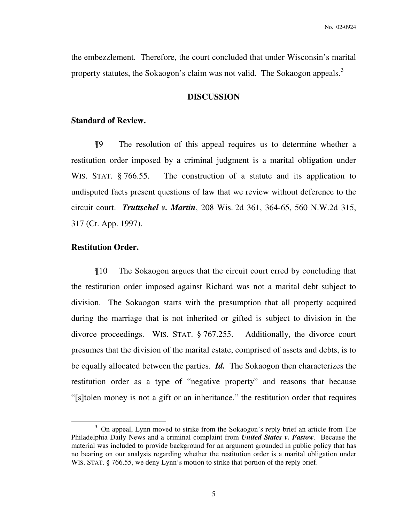the embezzlement. Therefore, the court concluded that under Wisconsin's marital property statutes, the Sokaogon's claim was not valid. The Sokaogon appeals.<sup>3</sup>

### **DISCUSSION**

## **Standard of Review.**

¶9 The resolution of this appeal requires us to determine whether a restitution order imposed by a criminal judgment is a marital obligation under WIS. STAT. § 766.55. The construction of a statute and its application to undisputed facts present questions of law that we review without deference to the circuit court. *Truttschel v. Martin*, 208 Wis. 2d 361, 364-65, 560 N.W.2d 315, 317 (Ct. App. 1997).

### **Restitution Order.**

 $\overline{a}$ 

 ¶10 The Sokaogon argues that the circuit court erred by concluding that the restitution order imposed against Richard was not a marital debt subject to division. The Sokaogon starts with the presumption that all property acquired during the marriage that is not inherited or gifted is subject to division in the divorce proceedings. WIS. STAT. § 767.255. Additionally, the divorce court presumes that the division of the marital estate, comprised of assets and debts, is to be equally allocated between the parties. *Id.* The Sokaogon then characterizes the restitution order as a type of "negative property" and reasons that because "[s]tolen money is not a gift or an inheritance," the restitution order that requires

<sup>&</sup>lt;sup>3</sup> On appeal, Lynn moved to strike from the Sokaogon's reply brief an article from The Philadelphia Daily News and a criminal complaint from *United States v. Fastow*. Because the material was included to provide background for an argument grounded in public policy that has no bearing on our analysis regarding whether the restitution order is a marital obligation under WIS. STAT. § 766.55, we deny Lynn's motion to strike that portion of the reply brief.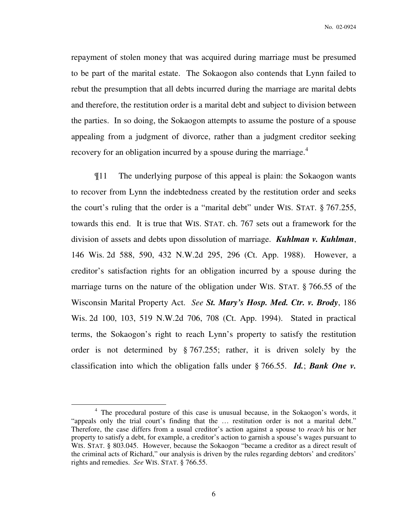repayment of stolen money that was acquired during marriage must be presumed to be part of the marital estate. The Sokaogon also contends that Lynn failed to rebut the presumption that all debts incurred during the marriage are marital debts and therefore, the restitution order is a marital debt and subject to division between the parties. In so doing, the Sokaogon attempts to assume the posture of a spouse appealing from a judgment of divorce, rather than a judgment creditor seeking recovery for an obligation incurred by a spouse during the marriage. $4$ 

 ¶11 The underlying purpose of this appeal is plain: the Sokaogon wants to recover from Lynn the indebtedness created by the restitution order and seeks the court's ruling that the order is a "marital debt" under WIS. STAT. § 767.255, towards this end. It is true that WIS. STAT. ch. 767 sets out a framework for the division of assets and debts upon dissolution of marriage. *Kuhlman v. Kuhlman*, 146 Wis. 2d 588, 590, 432 N.W.2d 295, 296 (Ct. App. 1988). However, a creditor's satisfaction rights for an obligation incurred by a spouse during the marriage turns on the nature of the obligation under WIS. STAT. § 766.55 of the Wisconsin Marital Property Act. *See St. Mary's Hosp. Med. Ctr. v. Brody*, 186 Wis. 2d 100, 103, 519 N.W.2d 706, 708 (Ct. App. 1994). Stated in practical terms, the Sokaogon's right to reach Lynn's property to satisfy the restitution order is not determined by § 767.255; rather, it is driven solely by the classification into which the obligation falls under § 766.55. *Id.*; *Bank One v.* 

<sup>&</sup>lt;sup>4</sup> The procedural posture of this case is unusual because, in the Sokaogon's words, it "appeals only the trial court's finding that the … restitution order is not a marital debt." Therefore, the case differs from a usual creditor's action against a spouse to *reach* his or her property to satisfy a debt, for example, a creditor's action to garnish a spouse's wages pursuant to WIS. STAT. § 803.045. However, because the Sokaogon "became a creditor as a direct result of the criminal acts of Richard," our analysis is driven by the rules regarding debtors' and creditors' rights and remedies. *See* WIS. STAT. § 766.55.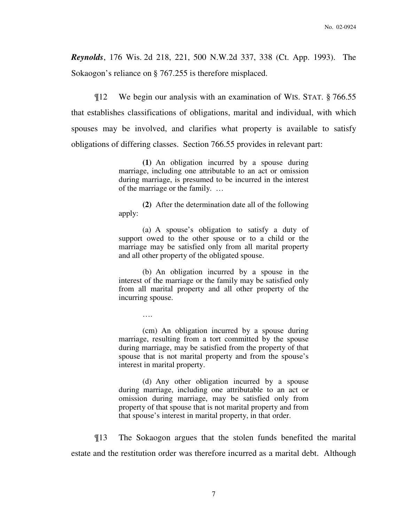*Reynolds*, 176 Wis. 2d 218, 221, 500 N.W.2d 337, 338 (Ct. App. 1993). The Sokaogon's reliance on § 767.255 is therefore misplaced.

 ¶12 We begin our analysis with an examination of WIS. STAT. § 766.55 that establishes classifications of obligations, marital and individual, with which spouses may be involved, and clarifies what property is available to satisfy obligations of differing classes. Section 766.55 provides in relevant part:

> **(1)** An obligation incurred by a spouse during marriage, including one attributable to an act or omission during marriage, is presumed to be incurred in the interest of the marriage or the family. …

> **(2)** After the determination date all of the following apply:

> (a) A spouse's obligation to satisfy a duty of support owed to the other spouse or to a child or the marriage may be satisfied only from all marital property and all other property of the obligated spouse.

> (b) An obligation incurred by a spouse in the interest of the marriage or the family may be satisfied only from all marital property and all other property of the incurring spouse.

> > ….

(cm) An obligation incurred by a spouse during marriage, resulting from a tort committed by the spouse during marriage, may be satisfied from the property of that spouse that is not marital property and from the spouse's interest in marital property.

(d) Any other obligation incurred by a spouse during marriage, including one attributable to an act or omission during marriage, may be satisfied only from property of that spouse that is not marital property and from that spouse's interest in marital property, in that order.

 ¶13 The Sokaogon argues that the stolen funds benefited the marital estate and the restitution order was therefore incurred as a marital debt. Although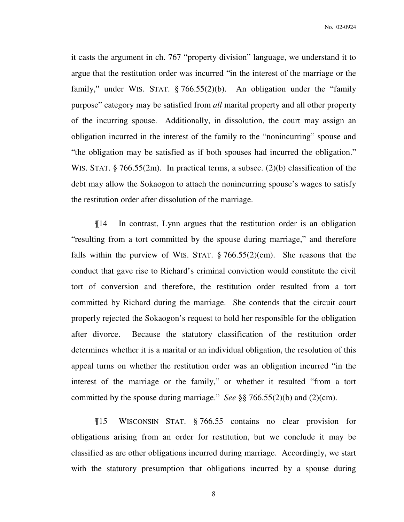No. 02-0924

it casts the argument in ch. 767 "property division" language, we understand it to argue that the restitution order was incurred "in the interest of the marriage or the family," under WIS. STAT. § 766.55(2)(b). An obligation under the "family purpose" category may be satisfied from *all* marital property and all other property of the incurring spouse. Additionally, in dissolution, the court may assign an obligation incurred in the interest of the family to the "nonincurring" spouse and "the obligation may be satisfied as if both spouses had incurred the obligation." WIS. STAT. § 766.55(2m). In practical terms, a subsec. (2)(b) classification of the debt may allow the Sokaogon to attach the nonincurring spouse's wages to satisfy the restitution order after dissolution of the marriage.

 ¶14 In contrast, Lynn argues that the restitution order is an obligation "resulting from a tort committed by the spouse during marriage," and therefore falls within the purview of WIS. STAT.  $\S 766.55(2)(cm)$ . She reasons that the conduct that gave rise to Richard's criminal conviction would constitute the civil tort of conversion and therefore, the restitution order resulted from a tort committed by Richard during the marriage. She contends that the circuit court properly rejected the Sokaogon's request to hold her responsible for the obligation after divorce. Because the statutory classification of the restitution order determines whether it is a marital or an individual obligation, the resolution of this appeal turns on whether the restitution order was an obligation incurred "in the interest of the marriage or the family," or whether it resulted "from a tort committed by the spouse during marriage." *See* §§ 766.55(2)(b) and (2)(cm).

 ¶15 WISCONSIN STAT. § 766.55 contains no clear provision for obligations arising from an order for restitution, but we conclude it may be classified as are other obligations incurred during marriage. Accordingly, we start with the statutory presumption that obligations incurred by a spouse during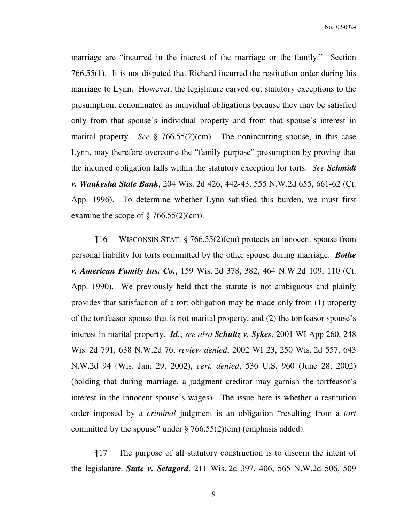marriage are "incurred in the interest of the marriage or the family." Section 766.55(1). It is not disputed that Richard incurred the restitution order during his marriage to Lynn. However, the legislature carved out statutory exceptions to the presumption, denominated as individual obligations because they may be satisfied only from that spouse's individual property and from that spouse's interest in marital property. *See* § 766.55(2)(cm). The nonincurring spouse, in this case Lynn, may therefore overcome the "family purpose" presumption by proving that the incurred obligation falls within the statutory exception for torts. *See Schmidt v. Waukesha State Bank*, 204 Wis. 2d 426, 442-43, 555 N.W.2d 655, 661-62 (Ct. App. 1996). To determine whether Lynn satisfied this burden, we must first examine the scope of  $\S 766.55(2)$ (cm).

¶16 WISCONSIN STAT. § 766.55(2)(cm) protects an innocent spouse from personal liability for torts committed by the other spouse during marriage. *Bothe v. American Family Ins. Co.*, 159 Wis. 2d 378, 382, 464 N.W.2d 109, 110 (Ct. App. 1990). We previously held that the statute is not ambiguous and plainly provides that satisfaction of a tort obligation may be made only from (1) property of the tortfeasor spouse that is not marital property, and (2) the tortfeasor spouse's interest in marital property. *Id.*; *see also Schultz v. Sykes*, 2001 WI App 260, 248 Wis. 2d 791, 638 N.W.2d 76, *review denied*, 2002 WI 23, 250 Wis. 2d 557, 643 N.W.2d 94 (Wis. Jan. 29, 2002), *cert. denied*, 536 U.S. 960 (June 28, 2002) (holding that during marriage, a judgment creditor may garnish the tortfeasor's interest in the innocent spouse's wages). The issue here is whether a restitution order imposed by a *criminal* judgment is an obligation "resulting from a *tort* committed by the spouse" under  $\S 766.55(2)$ (cm) (emphasis added).

¶17 The purpose of all statutory construction is to discern the intent of the legislature. *State v. Setagord*, 211 Wis. 2d 397, 406, 565 N.W.2d 506, 509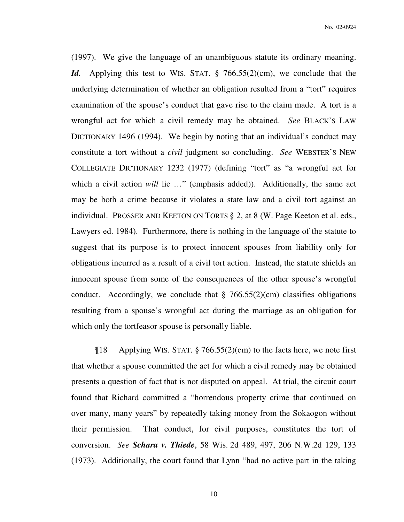(1997). We give the language of an unambiguous statute its ordinary meaning. *Id.* Applying this test to WIS. STAT. § 766.55(2)(cm), we conclude that the underlying determination of whether an obligation resulted from a "tort" requires examination of the spouse's conduct that gave rise to the claim made. A tort is a wrongful act for which a civil remedy may be obtained. *See* BLACK'S LAW DICTIONARY 1496 (1994). We begin by noting that an individual's conduct may constitute a tort without a *civil* judgment so concluding. *See* WEBSTER'S NEW COLLEGIATE DICTIONARY 1232 (1977) (defining "tort" as "a wrongful act for which a civil action *will* lie ..." (emphasis added)). Additionally, the same act may be both a crime because it violates a state law and a civil tort against an individual. PROSSER AND KEETON ON TORTS § 2, at 8 (W. Page Keeton et al. eds., Lawyers ed. 1984). Furthermore, there is nothing in the language of the statute to suggest that its purpose is to protect innocent spouses from liability only for obligations incurred as a result of a civil tort action. Instead, the statute shields an innocent spouse from some of the consequences of the other spouse's wrongful conduct. Accordingly, we conclude that  $\S$  766.55(2)(cm) classifies obligations resulting from a spouse's wrongful act during the marriage as an obligation for which only the tortfeasor spouse is personally liable.

 $\[\text{18} \quad$  Applying WIS. STAT. § 766.55(2)(cm) to the facts here, we note first that whether a spouse committed the act for which a civil remedy may be obtained presents a question of fact that is not disputed on appeal. At trial, the circuit court found that Richard committed a "horrendous property crime that continued on over many, many years" by repeatedly taking money from the Sokaogon without their permission. That conduct, for civil purposes, constitutes the tort of conversion. *See Schara v. Thiede*, 58 Wis. 2d 489, 497, 206 N.W.2d 129, 133 (1973). Additionally, the court found that Lynn "had no active part in the taking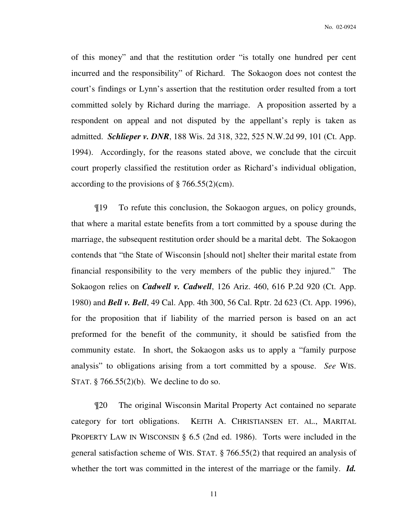No. 02-0924

of this money" and that the restitution order "is totally one hundred per cent incurred and the responsibility" of Richard. The Sokaogon does not contest the court's findings or Lynn's assertion that the restitution order resulted from a tort committed solely by Richard during the marriage. A proposition asserted by a respondent on appeal and not disputed by the appellant's reply is taken as admitted. *Schlieper v. DNR*, 188 Wis. 2d 318, 322, 525 N.W.2d 99, 101 (Ct. App. 1994). Accordingly, for the reasons stated above, we conclude that the circuit court properly classified the restitution order as Richard's individual obligation, according to the provisions of  $\S 766.55(2)$ (cm).

 ¶19 To refute this conclusion, the Sokaogon argues, on policy grounds, that where a marital estate benefits from a tort committed by a spouse during the marriage, the subsequent restitution order should be a marital debt. The Sokaogon contends that "the State of Wisconsin [should not] shelter their marital estate from financial responsibility to the very members of the public they injured." The Sokaogon relies on *Cadwell v. Cadwell*, 126 Ariz. 460, 616 P.2d 920 (Ct. App. 1980) and *Bell v. Bell*, 49 Cal. App. 4th 300, 56 Cal. Rptr. 2d 623 (Ct. App. 1996), for the proposition that if liability of the married person is based on an act preformed for the benefit of the community, it should be satisfied from the community estate. In short, the Sokaogon asks us to apply a "family purpose analysis" to obligations arising from a tort committed by a spouse. *See* WIS. STAT. § 766.55(2)(b). We decline to do so.

 ¶20 The original Wisconsin Marital Property Act contained no separate category for tort obligations. KEITH A. CHRISTIANSEN ET. AL., MARITAL PROPERTY LAW IN WISCONSIN § 6.5 (2nd ed. 1986). Torts were included in the general satisfaction scheme of WIS. STAT. § 766.55(2) that required an analysis of whether the tort was committed in the interest of the marriage or the family. **Id.**